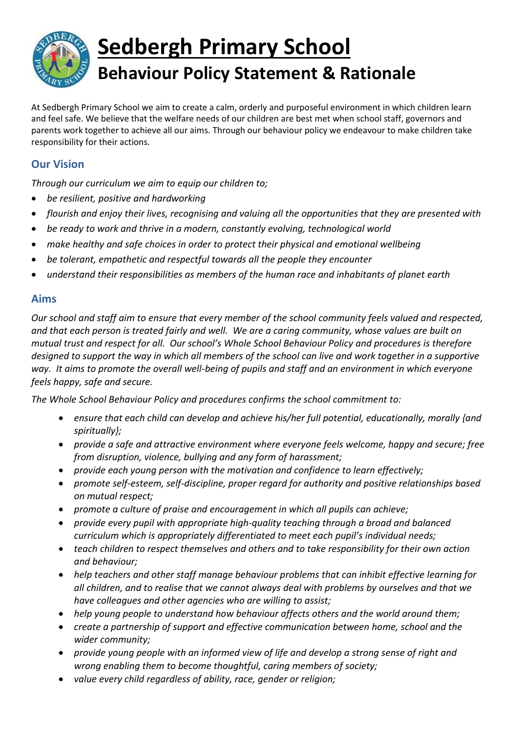

## **Sedbergh Primary School Behaviour Policy Statement & Rationale**

At Sedbergh Primary School we aim to create a calm, orderly and purposeful environment in which children learn and feel safe. We believe that the welfare needs of our children are best met when school staff, governors and parents work together to achieve all our aims. Through our behaviour policy we endeavour to make children take responsibility for their actions.

## **Our Vision**

*Through our curriculum we aim to equip our children to;*

- *be resilient, positive and hardworking*
- *flourish and enjoy their lives, recognising and valuing all the opportunities that they are presented with*
- *be ready to work and thrive in a modern, constantly evolving, technological world*
- *make healthy and safe choices in order to protect their physical and emotional wellbeing*
- *be tolerant, empathetic and respectful towards all the people they encounter*
- *understand their responsibilities as members of the human race and inhabitants of planet earth*

## **Aims**

*Our school and staff aim to ensure that every member of the school community feels valued and respected, and that each person is treated fairly and well. We are a caring community, whose values are built on mutual trust and respect for all. Our school's Whole School Behaviour Policy and procedures is therefore designed to support the way in which all members of the school can live and work together in a supportive way. It aims to promote the overall well-being of pupils and staff and an environment in which everyone feels happy, safe and secure.*

*The Whole School Behaviour Policy and procedures confirms the school commitment to:*

- *ensure that each child can develop and achieve his/her full potential, educationally, morally {and spiritually};*
- *provide a safe and attractive environment where everyone feels welcome, happy and secure; free from disruption, violence, bullying and any form of harassment;*
- *provide each young person with the motivation and confidence to learn effectively;*
- *promote self-esteem, self-discipline, proper regard for authority and positive relationships based on mutual respect;*
- *promote a culture of praise and encouragement in which all pupils can achieve;*
- *provide every pupil with appropriate high-quality teaching through a broad and balanced curriculum which is appropriately differentiated to meet each pupil's individual needs;*
- *teach children to respect themselves and others and to take responsibility for their own action and behaviour;*
- *help teachers and other staff manage behaviour problems that can inhibit effective learning for all children, and to realise that we cannot always deal with problems by ourselves and that we have colleagues and other agencies who are willing to assist;*
- *help young people to understand how behaviour affects others and the world around them;*
- *create a partnership of support and effective communication between home, school and the wider community;*
- *provide young people with an informed view of life and develop a strong sense of right and wrong enabling them to become thoughtful, caring members of society;*
- *value every child regardless of ability, race, gender or religion;*